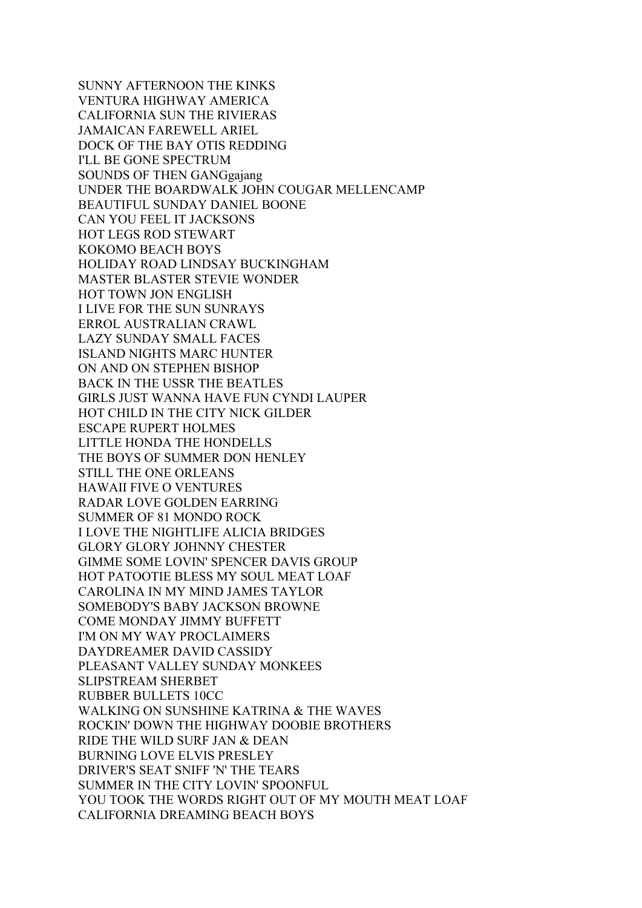SUNNY AFTERNOON THE KINKS VENTURA HIGHWAY AMERICA CALIFORNIA SUN THE RIVIERAS JAMAICAN FAREWELL ARIEL DOCK OF THE BAY OTIS REDDING I'LL BE GONE SPECTRUM SOUNDS OF THEN GANGgajang UNDER THE BOARDWALK JOHN COUGAR MELLENCAMP BEAUTIFUL SUNDAY DANIEL BOONE CAN YOU FEEL IT JACKSONS HOT LEGS ROD STEWART KOKOMO BEACH BOYS HOLIDAY ROAD LINDSAY BUCKINGHAM MASTER BLASTER STEVIE WONDER HOT TOWN JON ENGLISH I LIVE FOR THE SUN SUNRAYS ERROL AUSTRALIAN CRAWL LAZY SUNDAY SMALL FACES ISLAND NIGHTS MARC HUNTER ON AND ON STEPHEN BISHOP BACK IN THE USSR THE BEATLES GIRLS JUST WANNA HAVE FUN CYNDI LAUPER HOT CHILD IN THE CITY NICK GILDER ESCAPE RUPERT HOLMES LITTLE HONDA THE HONDELLS THE BOYS OF SUMMER DON HENLEY STILL THE ONE ORLEANS HAWAII FIVE O VENTURES RADAR LOVE GOLDEN EARRING SUMMER OF 81 MONDO ROCK I LOVE THE NIGHTLIFE ALICIA BRIDGES GLORY GLORY JOHNNY CHESTER GIMME SOME LOVIN' SPENCER DAVIS GROUP HOT PATOOTIE BLESS MY SOUL MEAT LOAF CAROLINA IN MY MIND JAMES TAYLOR SOMEBODY'S BABY JACKSON BROWNE COME MONDAY JIMMY BUFFETT I'M ON MY WAY PROCLAIMERS DAYDREAMER DAVID CASSIDY PLEASANT VALLEY SUNDAY MONKEES SLIPSTREAM SHERBET RUBBER BULLETS 10CC WALKING ON SUNSHINE KATRINA & THE WAVES ROCKIN' DOWN THE HIGHWAY DOOBIE BROTHERS RIDE THE WILD SURF JAN & DEAN BURNING LOVE ELVIS PRESLEY DRIVER'S SEAT SNIFF 'N' THE TEARS SUMMER IN THE CITY LOVIN' SPOONFUL YOU TOOK THE WORDS RIGHT OUT OF MY MOUTH MEAT LOAF CALIFORNIA DREAMING BEACH BOYS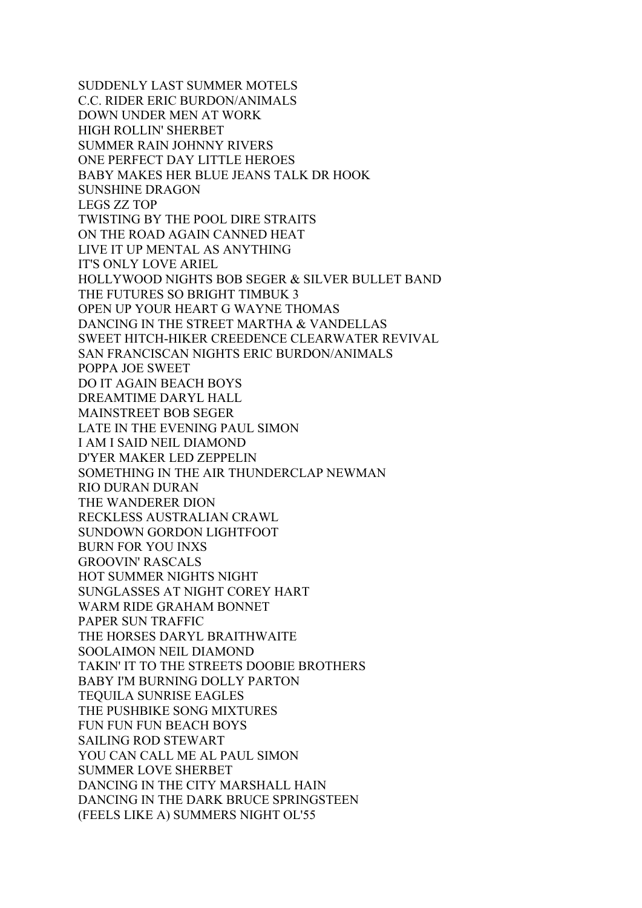SUDDENLY LAST SUMMER MOTELS C.C. RIDER ERIC BURDON/ANIMALS DOWN UNDER MEN AT WORK HIGH ROLLIN' SHERBET SUMMER RAIN JOHNNY RIVERS ONE PERFECT DAY LITTLE HEROES BABY MAKES HER BLUE JEANS TALK DR HOOK SUNSHINE DRAGON LEGS ZZ TOP TWISTING BY THE POOL DIRE STRAITS ON THE ROAD AGAIN CANNED HEAT LIVE IT UP MENTAL AS ANYTHING IT'S ONLY LOVE ARIEL HOLLYWOOD NIGHTS BOB SEGER & SILVER BULLET BAND THE FUTURES SO BRIGHT TIMBUK 3 OPEN UP YOUR HEART G WAYNE THOMAS DANCING IN THE STREET MARTHA & VANDELLAS SWEET HITCH-HIKER CREEDENCE CLEARWATER REVIVAL SAN FRANCISCAN NIGHTS ERIC BURDON/ANIMALS POPPA JOE SWEET DO IT AGAIN BEACH BOYS DREAMTIME DARYL HALL MAINSTREET BOB SEGER LATE IN THE EVENING PAUL SIMON I AM I SAID NEIL DIAMOND D'YER MAKER LED ZEPPELIN SOMETHING IN THE AIR THUNDERCLAP NEWMAN RIO DURAN DURAN THE WANDERER DION RECKLESS AUSTRALIAN CRAWL SUNDOWN GORDON LIGHTFOOT BURN FOR YOU INXS GROOVIN' RASCALS HOT SUMMER NIGHTS NIGHT SUNGLASSES AT NIGHT COREY HART WARM RIDE GRAHAM BONNET PAPER SUN TRAFFIC THE HORSES DARYL BRAITHWAITE SOOLAIMON NEIL DIAMOND TAKIN' IT TO THE STREETS DOOBIE BROTHERS BABY I'M BURNING DOLLY PARTON TEQUILA SUNRISE EAGLES THE PUSHBIKE SONG MIXTURES FUN FUN FUN BEACH BOYS SAILING ROD STEWART YOU CAN CALL ME AL PAUL SIMON SUMMER LOVE SHERBET DANCING IN THE CITY MARSHALL HAIN DANCING IN THE DARK BRUCE SPRINGSTEEN (FEELS LIKE A) SUMMERS NIGHT OL'55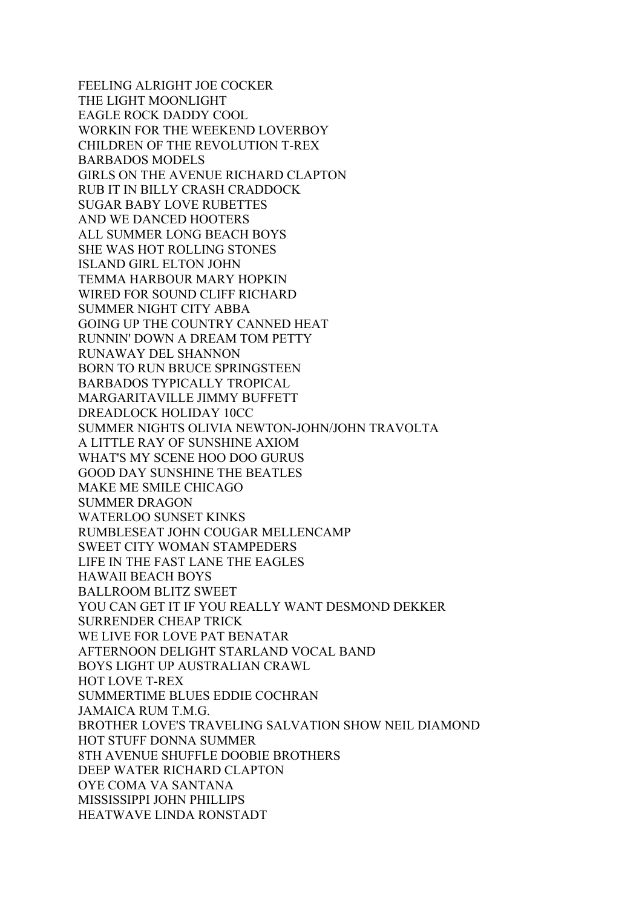FEELING ALRIGHT JOE COCKER THE LIGHT MOONLIGHT EAGLE ROCK DADDY COOL WORKIN FOR THE WEEKEND LOVERBOY CHILDREN OF THE REVOLUTION T-REX BARBADOS MODELS GIRLS ON THE AVENUE RICHARD CLAPTON RUB IT IN BILLY CRASH CRADDOCK SUGAR BABY LOVE RUBETTES AND WE DANCED HOOTERS ALL SUMMER LONG BEACH BOYS SHE WAS HOT ROLLING STONES ISLAND GIRL ELTON JOHN TEMMA HARBOUR MARY HOPKIN WIRED FOR SOUND CLIFF RICHARD SUMMER NIGHT CITY ABBA GOING UP THE COUNTRY CANNED HEAT RUNNIN' DOWN A DREAM TOM PETTY RUNAWAY DEL SHANNON BORN TO RUN BRUCE SPRINGSTEEN BARBADOS TYPICALLY TROPICAL MARGARITAVILLE JIMMY BUFFETT DREADLOCK HOLIDAY 10CC SUMMER NIGHTS OLIVIA NEWTON-JOHN/JOHN TRAVOLTA A LITTLE RAY OF SUNSHINE AXIOM WHAT'S MY SCENE HOO DOO GURUS GOOD DAY SUNSHINE THE BEATLES MAKE ME SMILE CHICAGO SUMMER DRAGON WATERLOO SUNSET KINKS RUMBLESEAT JOHN COUGAR MELLENCAMP SWEET CITY WOMAN STAMPEDERS LIFE IN THE FAST LANE THE EAGLES HAWAII BEACH BOYS BALLROOM BLITZ SWEET YOU CAN GET IT IF YOU REALLY WANT DESMOND DEKKER SURRENDER CHEAP TRICK WE LIVE FOR LOVE PAT BENATAR AFTERNOON DELIGHT STARLAND VOCAL BAND BOYS LIGHT UP AUSTRALIAN CRAWL HOT LOVE T-REX SUMMERTIME BLUES EDDIE COCHRAN JAMAICA RUM T.M.G. BROTHER LOVE'S TRAVELING SALVATION SHOW NEIL DIAMOND HOT STUFF DONNA SUMMER 8TH AVENUE SHUFFLE DOOBIE BROTHERS DEEP WATER RICHARD CLAPTON OYE COMA VA SANTANA MISSISSIPPI JOHN PHILLIPS HEATWAVE LINDA RONSTADT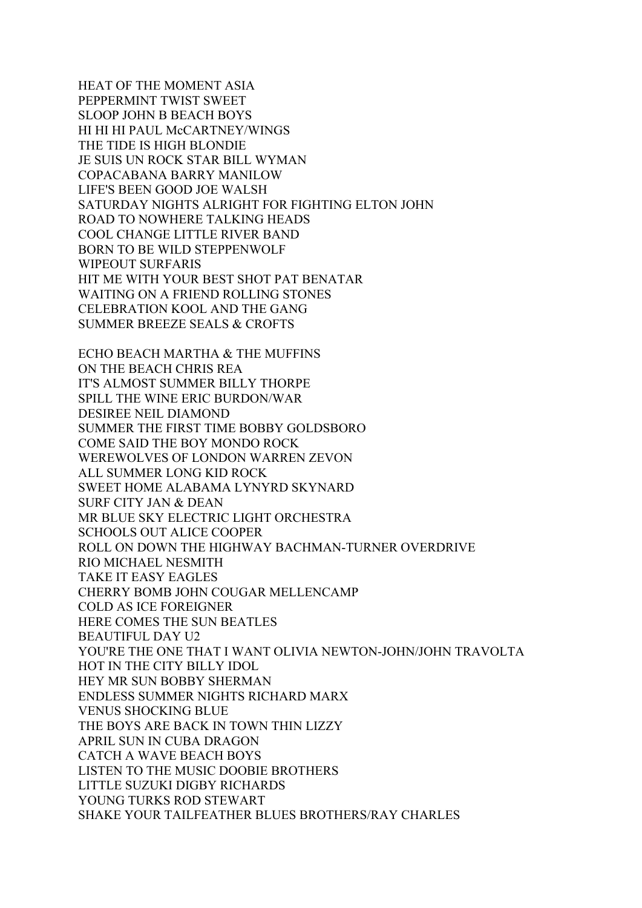HEAT OF THE MOMENT ASIA PEPPERMINT TWIST SWEET SLOOP JOHN B BEACH BOYS HI HI HI PAUL McCARTNEY/WINGS THE TIDE IS HIGH BLONDIE JE SUIS UN ROCK STAR BILL WYMAN COPACABANA BARRY MANILOW LIFE'S BEEN GOOD JOE WALSH SATURDAY NIGHTS ALRIGHT FOR FIGHTING ELTON JOHN ROAD TO NOWHERE TALKING HEADS COOL CHANGE LITTLE RIVER BAND BORN TO BE WILD STEPPENWOLF WIPEOUT SURFARIS HIT ME WITH YOUR BEST SHOT PAT BENATAR WAITING ON A FRIEND ROLLING STONES CELEBRATION KOOL AND THE GANG SUMMER BREEZE SEALS & CROFTS ECHO BEACH MARTHA & THE MUFFINS

ON THE BEACH CHRIS REA IT'S ALMOST SUMMER BILLY THORPE SPILL THE WINE ERIC BURDON/WAR DESIREE NEIL DIAMOND SUMMER THE FIRST TIME BOBBY GOLDSBORO COME SAID THE BOY MONDO ROCK WEREWOLVES OF LONDON WARREN ZEVON ALL SUMMER LONG KID ROCK SWEET HOME ALABAMA LYNYRD SKYNARD SURF CITY JAN & DEAN MR BLUE SKY ELECTRIC LIGHT ORCHESTRA SCHOOLS OUT ALICE COOPER ROLL ON DOWN THE HIGHWAY BACHMAN-TURNER OVERDRIVE RIO MICHAEL NESMITH TAKE IT EASY EAGLES CHERRY BOMB JOHN COUGAR MELLENCAMP COLD AS ICE FOREIGNER HERE COMES THE SUN BEATLES BEAUTIFUL DAY U2 YOU'RE THE ONE THAT I WANT OLIVIA NEWTON-JOHN/JOHN TRAVOLTA HOT IN THE CITY BILLY IDOL HEY MR SUN BOBBY SHERMAN ENDLESS SUMMER NIGHTS RICHARD MARX VENUS SHOCKING BLUE THE BOYS ARE BACK IN TOWN THIN LIZZY APRIL SUN IN CUBA DRAGON CATCH A WAVE BEACH BOYS LISTEN TO THE MUSIC DOOBIE BROTHERS LITTLE SUZUKI DIGBY RICHARDS YOUNG TURKS ROD STEWART SHAKE YOUR TAILFEATHER BLUES BROTHERS/RAY CHARLES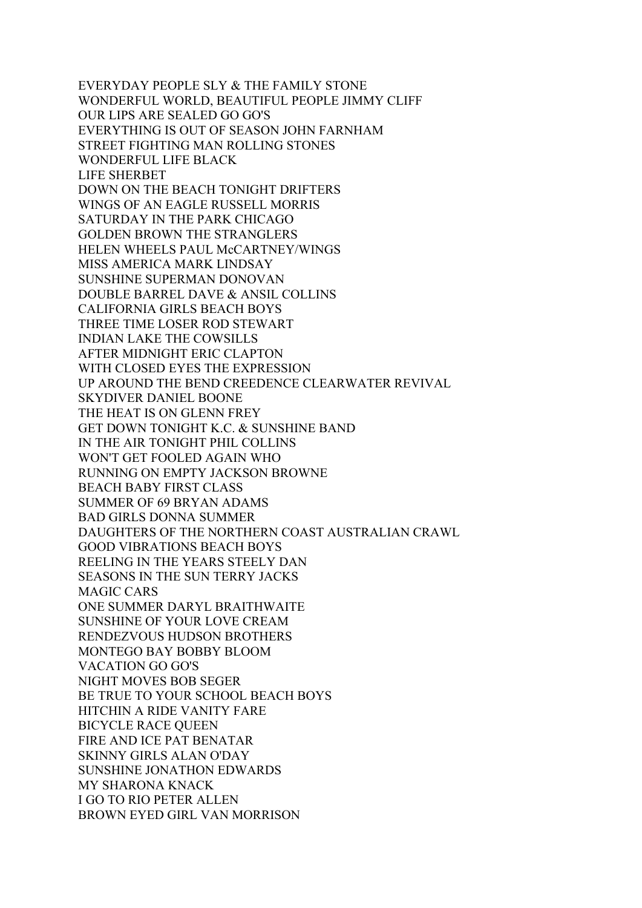EVERYDAY PEOPLE SLY & THE FAMILY STONE WONDERFUL WORLD, BEAUTIFUL PEOPLE JIMMY CLIFF OUR LIPS ARE SEALED GO GO'S EVERYTHING IS OUT OF SEASON JOHN FARNHAM STREET FIGHTING MAN ROLLING STONES WONDERFUL LIFE BLACK LIFE SHERBET DOWN ON THE BEACH TONIGHT DRIFTERS WINGS OF AN EAGLE RUSSELL MORRIS SATURDAY IN THE PARK CHICAGO GOLDEN BROWN THE STRANGLERS HELEN WHEELS PAUL McCARTNEY/WINGS MISS AMERICA MARK LINDSAY SUNSHINE SUPERMAN DONOVAN DOUBLE BARREL DAVE & ANSIL COLLINS CALIFORNIA GIRLS BEACH BOYS THREE TIME LOSER ROD STEWART INDIAN LAKE THE COWSILLS AFTER MIDNIGHT ERIC CLAPTON WITH CLOSED EYES THE EXPRESSION UP AROUND THE BEND CREEDENCE CLEARWATER REVIVAL SKYDIVER DANIEL BOONE THE HEAT IS ON GLENN FREY GET DOWN TONIGHT K.C. & SUNSHINE BAND IN THE AIR TONIGHT PHIL COLLINS WON'T GET FOOLED AGAIN WHO RUNNING ON EMPTY JACKSON BROWNE BEACH BABY FIRST CLASS SUMMER OF 69 BRYAN ADAMS BAD GIRLS DONNA SUMMER DAUGHTERS OF THE NORTHERN COAST AUSTRALIAN CRAWL GOOD VIBRATIONS BEACH BOYS REELING IN THE YEARS STEELY DAN SEASONS IN THE SUN TERRY JACKS MAGIC CARS ONE SUMMER DARYL BRAITHWAITE SUNSHINE OF YOUR LOVE CREAM RENDEZVOUS HUDSON BROTHERS MONTEGO BAY BOBBY BLOOM VACATION GO GO'S NIGHT MOVES BOB SEGER BE TRUE TO YOUR SCHOOL BEACH BOYS HITCHIN A RIDE VANITY FARE BICYCLE RACE QUEEN FIRE AND ICE PAT BENATAR SKINNY GIRLS ALAN O'DAY SUNSHINE JONATHON EDWARDS MY SHARONA KNACK I GO TO RIO PETER ALLEN BROWN EYED GIRL VAN MORRISON